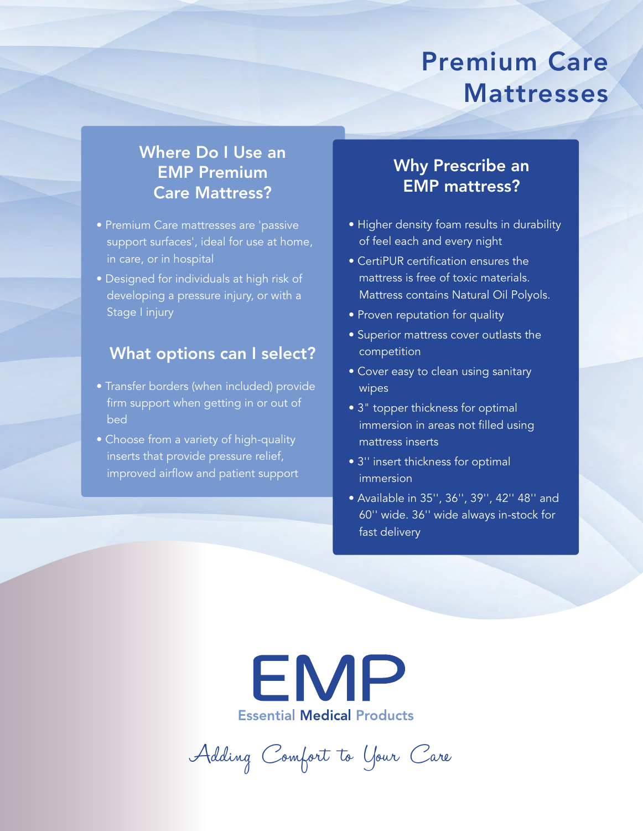# Premium Care Mattresses

## Where Do I Use an EMP Premium Care Mattress?

- Premium Care mattresses are 'passive support surfaces', ideal for use at home, in care, or in hospital
- Designed for individuals at high risk of developing a pressure injury, or with a Stage I injury

### What options can I select?

- Transfer borders (when included) provide firm support when getting in or out of bed
- Choose from a variety of high-quality inserts that provide pressure relief, improved airflow and patient support

## Why Prescribe an EMP mattress?

- Higher density foam results in durability of feel each and every night
- CertiPUR certification ensures the mattress is free of toxic materials. Mattress contains Natural Oil Polyols.
- Proven reputation for quality
- Superior mattress cover outlasts the competition
- Cover easy to clean using sanitary wipes
- 3" topper thickness for optimal immersion in areas not filled using mattress inserts
- 3'' insert thickness for optimal immersion
- Available in 35'', 36'', 39'', 42'' 48'' and 60'' wide. 36'' wide always in-stock for fast delivery



Adding Comfort to Your Care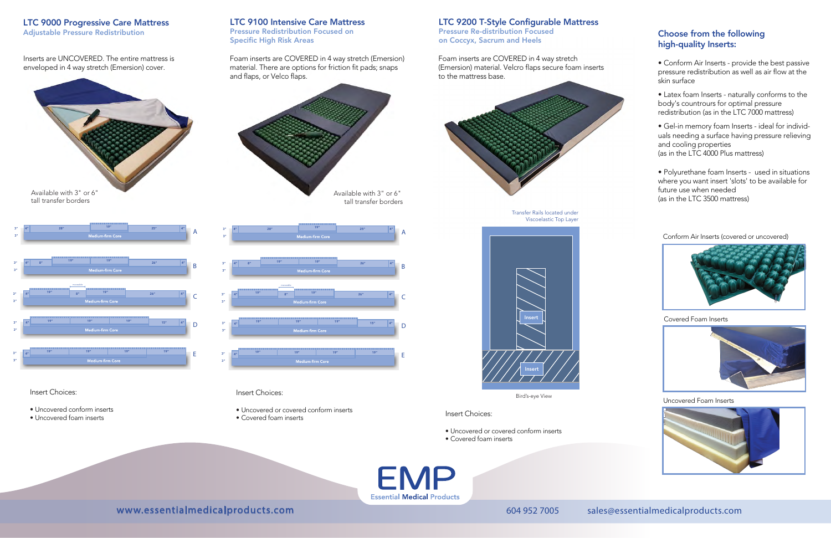#### LTC 9200 T-Style Configurable Mattress

Pressure Re-distribution Focused on Coccyx, Sacrum and Heels

#### LTC 9100 Intensive Care Mattress

Pressure Redistribution Focused on Specific High Risk Areas



Inserts are UNCOVERED. The entire mattress is enveloped in 4 way stretch (Emersion) cover.

Foam inserts are COVERED in 4 way stretch (Emersion) material. There are options for friction fit pads; snaps and flaps, or Velco flaps.

Foam inserts are COVERED in 4 way stretch (Emersion) material. Velcro flaps secure foam inserts to the mattress base.



#### LTC 9000 Progressive Care Mattress

Adjustable Pressure Redistribution

Bird's-eye View

Transfer Rails located under Viscoelastic Top Layer

- Uncovered or covered conform inserts • Uncovered or covered conform inserts<br>• Covered foam inserts
- 



### Choose from the following high-quality Inserts:

• Conform Air Inserts - provide the best passive pressure redistribution as well as air flow at the skin surface

• Latex foam Inserts - naturally conforms to the body's countrours for optimal pressure redistribution (as in the LTC 7000 mattress)

• Gel-in memory foam Inserts - ideal for individuals needing a surface having pressure relieving and cooling properties (as in the LTC 4000 Plus mattress)

• Polyurethane foam Inserts - used in situations where you want insert 'slots' to be available for future use when needed (as in the LTC 3500 mattress)



#### Insert Choices:

- Uncovered conform inserts
- Uncovered foam inserts

#### Insert Choices:

- Uncovered or covered conform inserts
- Covered foam inserts

**EMP Essential Medical Products** 

### www.essentialmedicalproducts.com 604 952 7005 sales@essentialmedicalproducts.com

Conform Air Inserts (covered or uncovered)



Covered Foam Inserts



Uncovered Foam Inserts